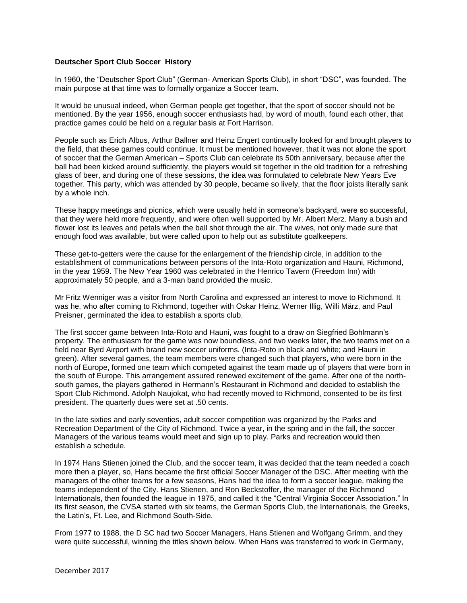## **Deutscher Sport Club Soccer History**

In 1960, the "Deutscher Sport Club" (German- American Sports Club), in short "DSC", was founded. The main purpose at that time was to formally organize a Soccer team.

It would be unusual indeed, when German people get together, that the sport of soccer should not be mentioned. By the year 1956, enough soccer enthusiasts had, by word of mouth, found each other, that practice games could be held on a regular basis at Fort Harrison.

People such as Erich Albus, Arthur Ballner and Heinz Engert continually looked for and brought players to the field, that these games could continue. It must be mentioned however, that it was not alone the sport of soccer that the German American – Sports Club can celebrate its 50th anniversary, because after the ball had been kicked around sufficiently, the players would sit together in the old tradition for a refreshing glass of beer, and during one of these sessions, the idea was formulated to celebrate New Years Eve together. This party, which was attended by 30 people, became so lively, that the floor joists literally sank by a whole inch.

These happy meetings and picnics, which were usually held in someone's backyard, were so successful, that they were held more frequently, and were often well supported by Mr. Albert Merz. Many a bush and flower lost its leaves and petals when the ball shot through the air. The wives, not only made sure that enough food was available, but were called upon to help out as substitute goalkeepers.

These get-to-getters were the cause for the enlargement of the friendship circle, in addition to the establishment of communications between persons of the Inta-Roto organization and Hauni, Richmond, in the year 1959. The New Year 1960 was celebrated in the Henrico Tavern (Freedom Inn) with approximately 50 people, and a 3-man band provided the music.

Mr Fritz Wenniger was a visitor from North Carolina and expressed an interest to move to Richmond. It was he, who after coming to Richmond, together with Oskar Heinz, Werner Illig, Willi März, and Paul Preisner, germinated the idea to establish a sports club.

The first soccer game between Inta-Roto and Hauni, was fought to a draw on Siegfried Bohlmann's property. The enthusiasm for the game was now boundless, and two weeks later, the two teams met on a field near Byrd Airport with brand new soccer uniforms. (Inta-Roto in black and white; and Hauni in green). After several games, the team members were changed such that players, who were born in the north of Europe, formed one team which competed against the team made up of players that were born in the south of Europe. This arrangement assured renewed excitement of the game. After one of the northsouth games, the players gathered in Hermann's Restaurant in Richmond and decided to establish the Sport Club Richmond. Adolph Naujokat, who had recently moved to Richmond, consented to be its first president. The quarterly dues were set at .50 cents.

In the late sixties and early seventies, adult soccer competition was organized by the Parks and Recreation Department of the City of Richmond. Twice a year, in the spring and in the fall, the soccer Managers of the various teams would meet and sign up to play. Parks and recreation would then establish a schedule.

In 1974 Hans Stienen joined the Club, and the soccer team, it was decided that the team needed a coach more then a player, so, Hans became the first official Soccer Manager of the DSC. After meeting with the managers of the other teams for a few seasons, Hans had the idea to form a soccer league, making the teams independent of the City. Hans Stienen, and Ron Beckstoffer, the manager of the Richmond Internationals, then founded the league in 1975, and called it the "Central Virginia Soccer Association." In its first season, the CVSA started with six teams, the German Sports Club, the Internationals, the Greeks, the Latin's, Ft. Lee, and Richmond South-Side.

From 1977 to 1988, the D SC had two Soccer Managers, Hans Stienen and Wolfgang Grimm, and they were quite successful, winning the titles shown below. When Hans was transferred to work in Germany,